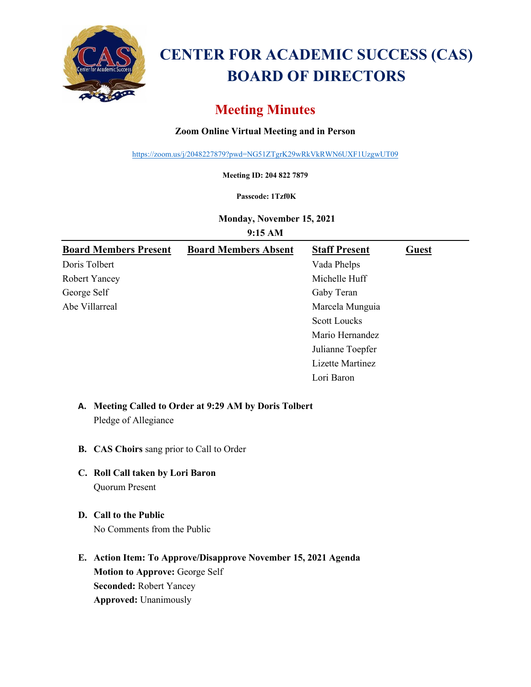

# **CENTER FOR ACADEMIC SUCCESS (CAS) BOARD OF DIRECTORS**

# **Meeting Minutes**

## **Zoom Online Virtual Meeting and in Person**

<https://zoom.us/j/2048227879?pwd=NG51ZTgrK29wRkVkRWN6UXF1UzgwUT09>

**Meeting ID: 204 822 7879**

#### **Passcode: 1Tzf0K**

**Monday, November 15, 2021**

**9:15 AM**

| <b>Board Members Present</b> | <b>Board Members Absent</b> | <b>Staff Present</b> | <b>Guest</b> |
|------------------------------|-----------------------------|----------------------|--------------|
| Doris Tolbert                |                             | Vada Phelps          |              |
| <b>Robert Yancey</b>         |                             | Michelle Huff        |              |
| George Self                  |                             | Gaby Teran           |              |
| Abe Villarreal               |                             | Marcela Munguia      |              |
|                              |                             | <b>Scott Loucks</b>  |              |
|                              |                             | Mario Hernandez      |              |
|                              |                             | Julianne Toepfer     |              |
|                              |                             | Lizette Martinez     |              |
|                              |                             | Lori Baron           |              |

## **A. Meeting Called to Order at 9:29 AM by Doris Tolbert** Pledge of Allegiance

- **B. CAS Choirs** sang prior to Call to Order
- **C. Roll Call taken by Lori Baron** Quorum Present
- **D. Call to the Public** No Comments from the Public
- **E. Action Item: To Approve/Disapprove November 15, 2021 Agenda Motion to Approve:** George Self **Seconded:** Robert Yancey **Approved:** Unanimously